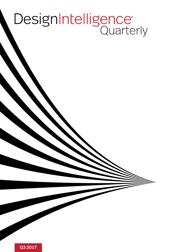# DesignIntelligence®

Q3 2017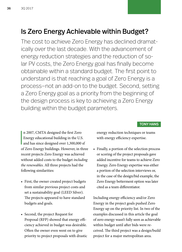### Is Zero Energy Achievable within Budget?

The cost to achieve Zero Energy has declined dramatically over the last decade. With the advancement of energy reduction strategies and the reduction of solar PV costs, the Zero Energy goal has finally become obtainable within a standard budget. The first point to understand is that reaching a goal of Zero Energy is a process—not an add-on to the budget. Second, setting a Zero Energy goal as a priority from the beginning of the design process is key to achieving a Zero Energy building within the budget parameters.

#### TONY HANS

n 2007, CMTA designed the first Zero<br>Energy educational building in the U.S.<br>and has since designed over 1,300,000 sf n 2007, CMTA designed the first Zero Energy educational building in the U.S. of Zero Energy buildings. However, in three recent projects Zero Energy was achieved without added costs to the budget *including the renewables*. All three projects had the following similarities:

- First, the owner created project budgets from similar previous project costs and set a sustainability goal (LEED Silver). The projects appeared to have standard budgets and goals.
- Second, the project Request for Proposal (RFP) showed that energy efficiency achieved in budget was desirable. Often the owner even went on to give priority to project proposals with drastic

energy reduction techniques or teams with energy efficiency expertise.

• Finally, a portion of the selection process or scoring of the project proposals gave added incentive for teams to achieve Zero Energy. Zero Energy expertise was either a portion of the selection interviews or, in the case of the design/bid example, the Zero Energy betterment option was later cited as a team differentiator.

Including energy efficiency and/or Zero Energy in the project goals pushed Zero Energy up on the priority list. In two of the examples discussed in this article the goal of zero energy wasn't fully seen as achievable within budget until after bids were received. The third project was a design/build project for a major metropolitan area.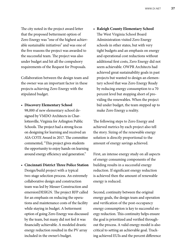The city noted in the project award letter that the proposed betterment option of Zero Energy was "one of the highest achievable sustainable initiatives" and was one of the five reasons the project was awarded to the successful team. The project was also under budget and hit all the compulsory requirements of the Request for Proposals.

Collaboration between the design team and the owner was an important factor in these projects achieving Zero Energy with the stipulated budget.

- **Discovery Elementary School** 98,000 sf new elementary school designed by VMDO Architects in Charlottesville, Virginia for Arlington Public Schools. The project had a strong focus on designing for learning and received an AIA COTE Award in 2017. The committee commented, "This project gives students the opportunity to enjoy hands-on learning around energy efficiency and generation."
- **Cincinnati District Three Police Station** Design/build project with a typical two-stage selection process. An extremely collaborative design and construction team was led by Messer Construction and emersionDESIGN. The project RFP called for an emphasis on reducing the operations and maintenance costs of the facility while staying in budget. A betterment option of going Zero Energy was discussed by the team, but many did not feel it was financially achievable. A modeled drastic energy reduction resulted in the PV array included in the owner's budget.

• **Raleigh County Elementary School** The West Virginia School Board Administration visited Zero Energy schools in other states, but with very tight budgets and an emphasis on energy and operational cost reductions without additional first costs, Zero Energy did not seem achievable. OWPR Architects had achieved great sustainability goals in past projects but wanted to design an elementary school that was Zero Energy Ready by reducing energy consumption to a 70 percent level but stopping short of providing the renewables. When the project bid under budget, the team stepped up to make Zero Energy a reality.

The following steps to Zero Energy and achieved metrics by each project also tell the story. Sizing of the renewable energy solution is directly proportional to the amount of energy savings achieved.

First, an intense energy study on all aspects of energy consuming components of the building results in a successful energy reduction. If significant energy reduction is achieved then the amount of renewable energy is reduced.

Second, continuity between the original energy goals, the design team and operation and verification of the post-occupancy energy consumption is key to successful energy reduction. This continuity helps ensure the goal is prioritized and verified throughout the process. A valid energy model is also critical to setting an achievable goal. Tracking achieved EUIs and the percent difference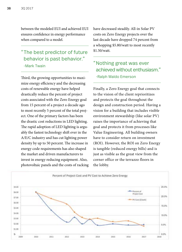between the modeled EUI and achieved EUI ensures confidence in energy performance when compared to a model.

#### "The best predictor of future behavior is past behavior." -Mark Twain

Third, the growing opportunities to maximize energy efficiency and the decreasing costs of renewable energy have helped drastically reduce the percent of project costs associated with the Zero Energy goal from 15 percent of a project a decade ago to most recently 5 percent of the total project. One of the primary factors has been the drastic cost reductions in LED lighting. The rapid adoption of LED lighting is arguably the fastest technology shift ever in the A/E/C industry and has cut lighting power density by up to 50 percent. The increase in energy code requirements has also shaped the market and driven manufacturers to invest in energy reducing equipment. Also, photovoltaic panels and the costs of racking have decreased steadily. All-in Solar PV costs on Zero Energy projects over the last decade have dropped 74 percent from a whopping \$5.80/watt to most recently \$1.50/watt.

#### "Nothing great was ever achieved without enthusiasm." -Ralph Waldo Emerson

Finally, a Zero Energy goal that connects to the vision of the client reprioritizes and protects the goal throughout the design and construction period. Having a vision for a building that includes visible environment stewardship (like solar PV) raises the importance of achieving that goal and protects it from processes like Value Engineering. All building owners have to consider return on investment (ROI). However, the ROI on Zero Energy is tangible (reduced energy bills) and is just as visible as the great view from the corner office or the terrazzo floors in the lobby.

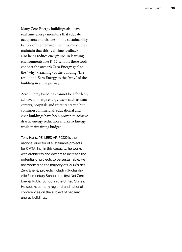Many Zero Energy buildings also have real time energy monitors that educate occupants and visitors on the sustainability factors of their environment. Some studies maintain that this real-time feedback also helps reduce energy use. In learning environments like K-12 schools these tools connect the owner's Zero Energy goal to the "why" (learning) of the building. The result tied Zero Energy to the "why" of the building in a unique way.

Zero Energy buildings cannot be affordably achieved in large energy users such as data centers, hospitals and restaurants yet, but common commercial, educational and civic buildings have been proven to achieve drastic energy reduction and Zero Energy while maintaining budget.

Tony Hans, PE, LEED AP, RCDD is the national director of sustainable projects for CMTA, Inc. In this capacity, he works with architects and owners to increase the potential of projects to be sustainable. He has worked on the majority of CMTA's Net Zero Energy projects including Richards ville Elementary School, the first Net Zero Energy Public School in the United States. He speaks at many regional and national conferences on the subject of net zero energy buildings.